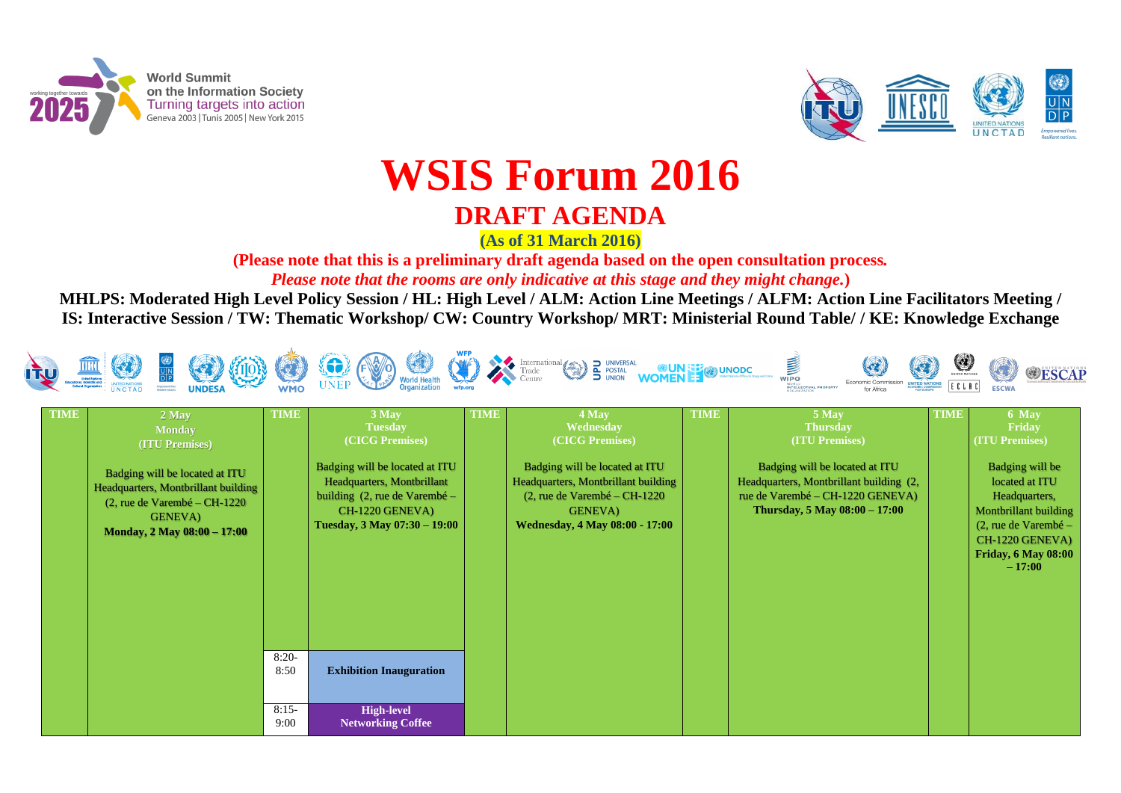

**World Summit** on the Information Society Turning targets into action Geneva 2003 | Tunis 2005 | New York 2015



# **WSIS Forum 2016 DRAFT AGENDA**

**(As of 31 March 2016)**

**(Please note that this is a preliminary draft agenda based on the open consultation process***. Please note that the rooms are only indicative at this stage and they might change.***)**

**MHLPS: Moderated High Level Policy Session / HL: High Level / ALM: Action Line Meetings / ALFM: Action Line Facilitators Meeting / IS: Interactive Session / TW: Thematic Workshop/ CW: Country Workshop/ MRT: Ministerial Round Table/ / KE: Knowledge Exchange**



ted at ITU Int building  $(2,$  $220$  GENEVA) **Thursday, 5 May 08:00 – 17:00**

| <b>TIME</b> | 2 May<br><b>Monday</b><br>(ITU Premises)<br>Badging will be located at ITU<br>Headquarters, Montbrillant building<br>$(2,$ rue de Varembé – CH-1220<br><b>GENEVA</b> )<br>Monday, 2 May 08:00 - 17:00 | <b>TIME</b>     | 3 May<br><b>Tuesday</b><br>(CICG Premises)<br>Badging will be located at ITU<br>Headquarters, Montbrillant<br>building $(2, \text{rule} \text{de Varembé} -$<br>CH-1220 GENEVA)<br>Tuesday, 3 May 07:30 - 19:00 | <b>TIME</b> | 4 May<br>Wednesday<br>(CICG Premises)<br>Badging will be located at ITU<br>Headquarters, Montbrillant building<br>$(2,$ rue de Varembé – CH-1220<br><b>GENEVA</b> )<br><b>Wednesday, 4 May 08:00 - 17:00</b> | <b>TIME</b> | 5 May<br><b>Thursday</b><br><b>(ITU Premis</b><br>Badging will be loca<br>Headquarters, Montbrilla<br>rue de Varembé - CH-12<br>Thursday, 5 May 08 |
|-------------|-------------------------------------------------------------------------------------------------------------------------------------------------------------------------------------------------------|-----------------|-----------------------------------------------------------------------------------------------------------------------------------------------------------------------------------------------------------------|-------------|--------------------------------------------------------------------------------------------------------------------------------------------------------------------------------------------------------------|-------------|----------------------------------------------------------------------------------------------------------------------------------------------------|
|             |                                                                                                                                                                                                       | $8:20-$<br>8:50 | <b>Exhibition Inauguration</b>                                                                                                                                                                                  |             |                                                                                                                                                                                                              |             |                                                                                                                                                    |
|             |                                                                                                                                                                                                       | $8:15-$<br>9:00 | <b>High-level</b><br><b>Networking Coffee</b>                                                                                                                                                                   |             |                                                                                                                                                                                                              |             |                                                                                                                                                    |















**(es)** 

**TIME 6 May Friday (ITU Premises)**

> Badging will be located at ITU Headquarters, Montbrillant building (2, rue de Varembé – CH-1220 GENEVA) **Friday, 6 May 08:00 – 17:00**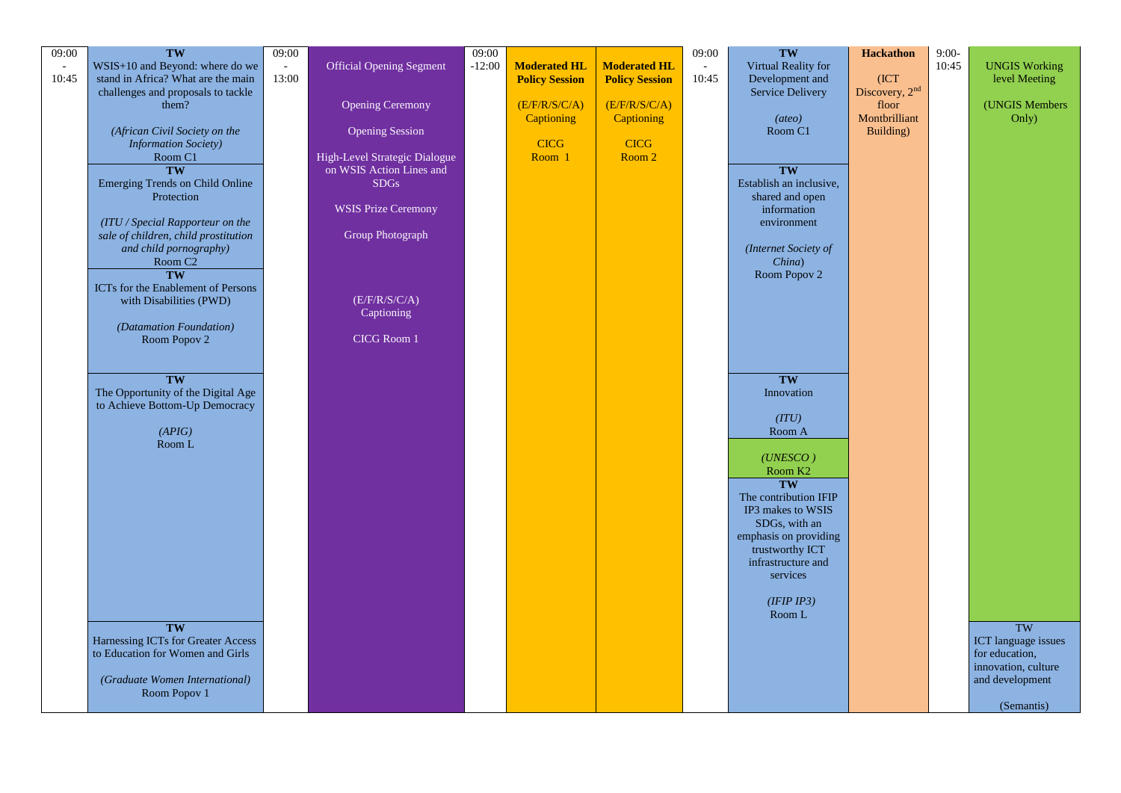| 09:00                    | TW                                              | 09:00 |                                 | 09:00    |                       |                       | 09:00                    | TW                                         |
|--------------------------|-------------------------------------------------|-------|---------------------------------|----------|-----------------------|-----------------------|--------------------------|--------------------------------------------|
| $\overline{\phantom{a}}$ | $WSIS+10$ and Beyond: where do we               |       | <b>Official Opening Segment</b> | $-12:00$ | <b>Moderated HL</b>   | <b>Moderated HL</b>   | $\overline{\phantom{a}}$ | Virtual Reality for                        |
| 10:45                    | stand in Africa? What are the main              | 13:00 |                                 |          | <b>Policy Session</b> | <b>Policy Session</b> | 10:45                    | Development and                            |
|                          | challenges and proposals to tackle              |       |                                 |          |                       |                       |                          | <b>Service Delivery</b>                    |
|                          | them?                                           |       | <b>Opening Ceremony</b>         |          | (E/F/R/S/C/A)         | (E/F/R/S/C/A)         |                          |                                            |
|                          | (African Civil Society on the                   |       | <b>Opening Session</b>          |          | <b>Captioning</b>     | Captioning            |                          | (ateo)<br>Room C1                          |
|                          | <b>Information Society)</b>                     |       |                                 |          | <b>CICG</b>           | <b>CICG</b>           |                          |                                            |
|                          | Room C1                                         |       | High-Level Strategic Dialogue   |          | Room 1                | Room 2                |                          |                                            |
|                          | TW                                              |       | on WSIS Action Lines and        |          |                       |                       |                          | TW                                         |
|                          | <b>Emerging Trends on Child Online</b>          |       | <b>SDGs</b>                     |          |                       |                       |                          | Establish an inclusive,                    |
|                          | Protection                                      |       | <b>WSIS Prize Ceremony</b>      |          |                       |                       |                          | shared and open<br>information             |
|                          | (ITU / Special Rapporteur on the                |       |                                 |          |                       |                       |                          | environment                                |
|                          | sale of children, child prostitution            |       | <b>Group Photograph</b>         |          |                       |                       |                          |                                            |
|                          | and child pornography)                          |       |                                 |          |                       |                       |                          | (Internet Society of                       |
|                          | Room C <sub>2</sub>                             |       |                                 |          |                       |                       |                          | China)                                     |
|                          | TW<br><b>ICTs</b> for the Enablement of Persons |       |                                 |          |                       |                       |                          | Room Popov 2                               |
|                          | with Disabilities (PWD)                         |       | (E/F/R/S/C/A)                   |          |                       |                       |                          |                                            |
|                          |                                                 |       | Captioning                      |          |                       |                       |                          |                                            |
|                          | (Datamation Foundation)                         |       |                                 |          |                       |                       |                          |                                            |
|                          | Room Popov 2                                    |       | <b>CICG Room 1</b>              |          |                       |                       |                          |                                            |
|                          |                                                 |       |                                 |          |                       |                       |                          |                                            |
|                          | TW                                              |       |                                 |          |                       |                       |                          | TW                                         |
|                          | The Opportunity of the Digital Age              |       |                                 |          |                       |                       |                          | Innovation                                 |
|                          | to Achieve Bottom-Up Democracy                  |       |                                 |          |                       |                       |                          |                                            |
|                          | (APIG)                                          |       |                                 |          |                       |                       |                          | (ITU)<br>Room A                            |
|                          | Room L                                          |       |                                 |          |                       |                       |                          |                                            |
|                          |                                                 |       |                                 |          |                       |                       |                          | (UNESCO)                                   |
|                          |                                                 |       |                                 |          |                       |                       |                          | Room K <sub>2</sub>                        |
|                          |                                                 |       |                                 |          |                       |                       |                          | TW                                         |
|                          |                                                 |       |                                 |          |                       |                       |                          | The contribution IFIP<br>IP3 makes to WSIS |
|                          |                                                 |       |                                 |          |                       |                       |                          | SDGs, with an                              |
|                          |                                                 |       |                                 |          |                       |                       |                          | emphasis on providing                      |
|                          |                                                 |       |                                 |          |                       |                       |                          | trustworthy ICT                            |
|                          |                                                 |       |                                 |          |                       |                       |                          | infrastructure and                         |
|                          |                                                 |       |                                 |          |                       |                       |                          | services                                   |
|                          |                                                 |       |                                 |          |                       |                       |                          | (IFIP IP3)                                 |
|                          |                                                 |       |                                 |          |                       |                       |                          | Room L                                     |
|                          | TW                                              |       |                                 |          |                       |                       |                          |                                            |
|                          | Harnessing ICTs for Greater Access              |       |                                 |          |                       |                       |                          |                                            |
|                          | to Education for Women and Girls                |       |                                 |          |                       |                       |                          |                                            |
|                          | (Graduate Women International)                  |       |                                 |          |                       |                       |                          |                                            |
|                          | Room Popov 1                                    |       |                                 |          |                       |                       |                          |                                            |
|                          |                                                 |       |                                 |          |                       |                       |                          |                                            |

| <b>Hackathon</b><br>(ICT<br>Discovery, 2nd<br>floor<br>Montbrilliant<br>Building) | $9:00-$<br>10:45 | <b>UNGIS Working</b><br>level Meeting<br>(UNGIS Members<br>Only)                      |
|-----------------------------------------------------------------------------------|------------------|---------------------------------------------------------------------------------------|
|                                                                                   |                  | TW<br>ICT language issues<br>for education,<br>innovation, culture<br>and development |
|                                                                                   |                  | (Semantis)                                                                            |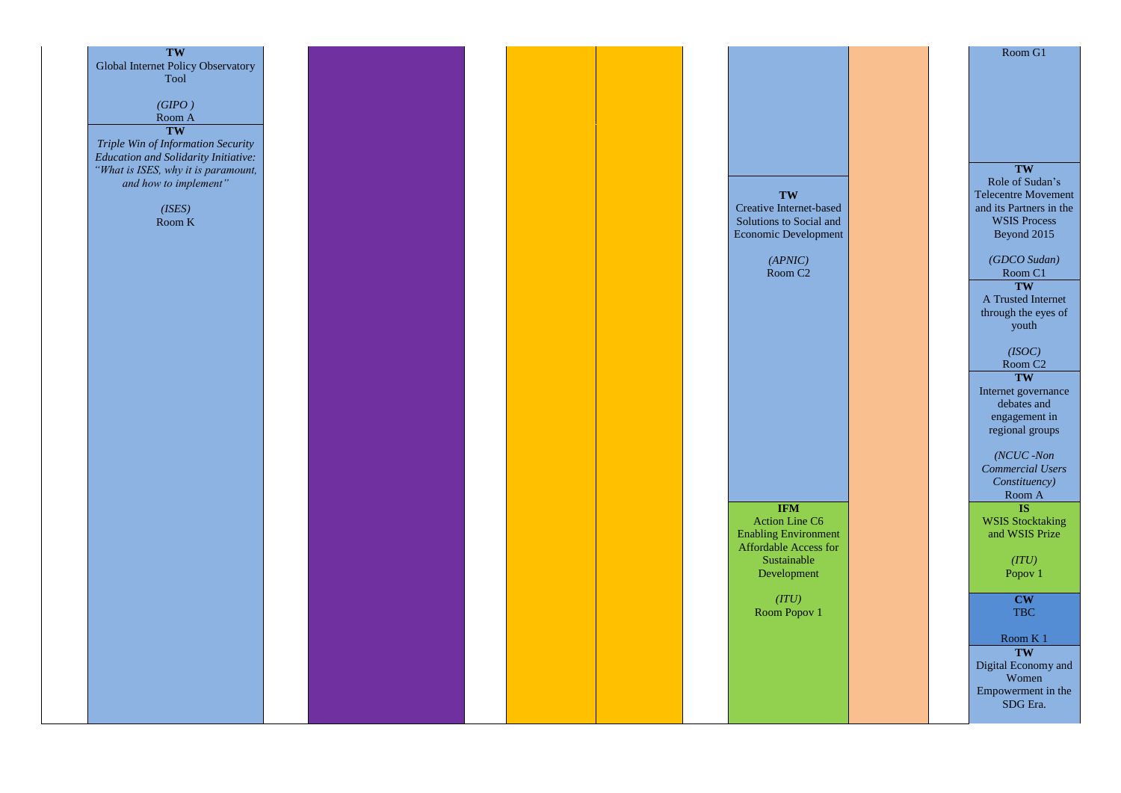| TW                                                           |  |  |  |                             |
|--------------------------------------------------------------|--|--|--|-----------------------------|
| Global Internet Policy Observatory                           |  |  |  |                             |
| Tool                                                         |  |  |  |                             |
|                                                              |  |  |  |                             |
|                                                              |  |  |  |                             |
| $(GIPO)$                                                     |  |  |  |                             |
| $\mbox{\sf Room\ A}$                                         |  |  |  |                             |
| TW                                                           |  |  |  |                             |
| Triple Win of Information Security                           |  |  |  |                             |
| <b>Education and Solidarity Initiative:</b>                  |  |  |  |                             |
|                                                              |  |  |  |                             |
| "What is ISES, why it is paramount,<br>and how to implement" |  |  |  |                             |
|                                                              |  |  |  |                             |
|                                                              |  |  |  | TW                          |
| (ISES)                                                       |  |  |  | Creative Internet-based     |
| Room $K$                                                     |  |  |  | Solutions to Social and     |
|                                                              |  |  |  | Economic Development        |
|                                                              |  |  |  |                             |
|                                                              |  |  |  |                             |
|                                                              |  |  |  | (APNIC)                     |
|                                                              |  |  |  | Room C <sub>2</sub>         |
|                                                              |  |  |  |                             |
|                                                              |  |  |  |                             |
|                                                              |  |  |  |                             |
|                                                              |  |  |  |                             |
|                                                              |  |  |  |                             |
|                                                              |  |  |  |                             |
|                                                              |  |  |  |                             |
|                                                              |  |  |  |                             |
|                                                              |  |  |  |                             |
|                                                              |  |  |  |                             |
|                                                              |  |  |  |                             |
|                                                              |  |  |  |                             |
|                                                              |  |  |  |                             |
|                                                              |  |  |  |                             |
|                                                              |  |  |  |                             |
|                                                              |  |  |  |                             |
|                                                              |  |  |  |                             |
|                                                              |  |  |  |                             |
|                                                              |  |  |  |                             |
|                                                              |  |  |  |                             |
|                                                              |  |  |  | <b>IFM</b>                  |
|                                                              |  |  |  | <b>Action Line C6</b>       |
|                                                              |  |  |  |                             |
|                                                              |  |  |  | <b>Enabling Environment</b> |
|                                                              |  |  |  | Affordable Access for       |
|                                                              |  |  |  | Sustainable                 |
|                                                              |  |  |  | Development                 |
|                                                              |  |  |  |                             |
|                                                              |  |  |  | (ITU)                       |
|                                                              |  |  |  |                             |
|                                                              |  |  |  | Room Popov 1                |
|                                                              |  |  |  |                             |
|                                                              |  |  |  |                             |
|                                                              |  |  |  |                             |
|                                                              |  |  |  |                             |
|                                                              |  |  |  |                             |
|                                                              |  |  |  |                             |
|                                                              |  |  |  |                             |
|                                                              |  |  |  |                             |
|                                                              |  |  |  |                             |
|                                                              |  |  |  |                             |

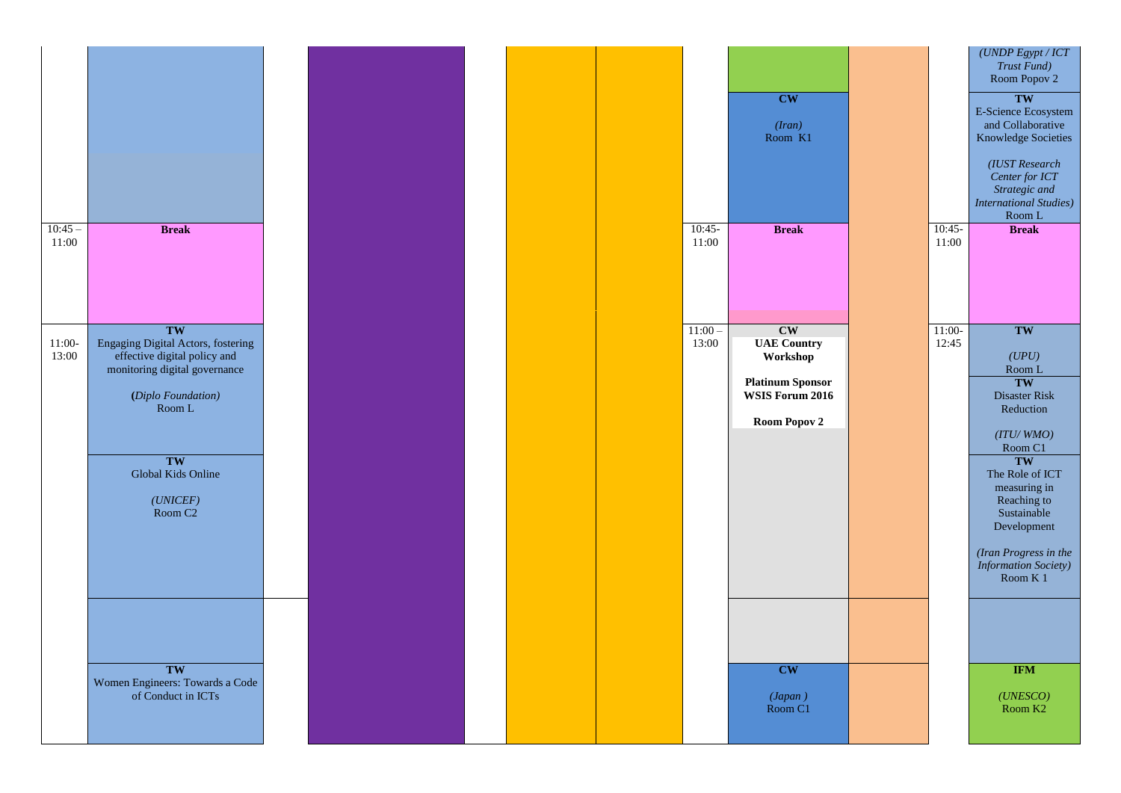|                   | (UNDP Egypt / ICT<br>Trust Fund)<br>Room Popov 2<br><b>TW</b><br><b>E-Science Ecosystem</b><br>and Collaborative<br><b>Knowledge Societies</b><br>(IUST Research<br>Center for ICT<br>Strategic and<br><b>International Studies)</b><br>Room L           |
|-------------------|----------------------------------------------------------------------------------------------------------------------------------------------------------------------------------------------------------------------------------------------------------|
| $10:45-$<br>11:00 | <b>Break</b>                                                                                                                                                                                                                                             |
| $11:00-$<br>12:45 | TW<br>(UPU)<br>Room L<br><b>TW</b><br><b>Disaster Risk</b><br>Reduction<br>(ITU/WMO)<br>Room C1<br>TW<br>The Role of ICT<br>measuring in<br>Reaching to<br>Sustainable<br>Development<br>(Iran Progress in the<br><b>Information Society)</b><br>Room K1 |
|                   |                                                                                                                                                                                                                                                          |
|                   | <b>IFM</b><br>(UNESCO)<br>Room K <sub>2</sub>                                                                                                                                                                                                            |

|                    |                                                                                                                                           |  |  |                    | <b>CW</b><br>(Iran)<br>Room K1                                                                            |                       |
|--------------------|-------------------------------------------------------------------------------------------------------------------------------------------|--|--|--------------------|-----------------------------------------------------------------------------------------------------------|-----------------------|
| $10:45 -$<br>11:00 | <b>Break</b>                                                                                                                              |  |  | $10:45-$<br>11:00  | <b>Break</b>                                                                                              | $\frac{10:45}{11:00}$ |
| $11:00-$<br>13:00  | TW<br>Engaging Digital Actors, fostering<br>effective digital policy and<br>monitoring digital governance<br>(Diplo Foundation)<br>Room L |  |  | $11:00 -$<br>13:00 | CW<br><b>UAE Country</b><br>Workshop<br><b>Platinum Sponsor</b><br>WSIS Forum 2016<br><b>Room Popov 2</b> | $\frac{11:00}{12:4}$  |
|                    | TW<br>Global Kids Online<br>(UNICEF)<br>Room C <sub>2</sub>                                                                               |  |  |                    |                                                                                                           |                       |
|                    | TW<br>Women Engineers: Towards a Code of Conduct in ICTs                                                                                  |  |  |                    | <b>CW</b><br>$(Japan)$<br>Room C1                                                                         |                       |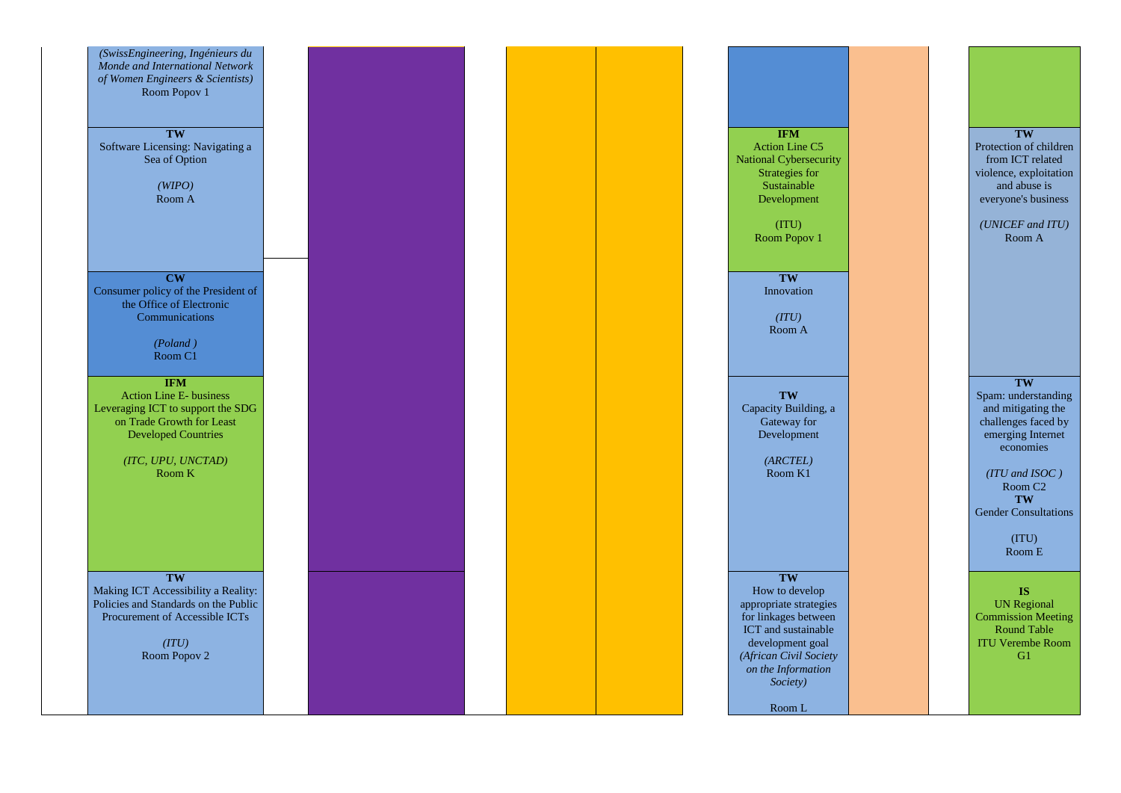*(SwissEngineering, Ingénieurs du Monde and International Network of Women Engineers & Scientists)* Room Popov 1

**TW** Software Licensing: Navigating a Sea of Option

> *(WIPO)* Room A

**CW** Consumer policy of the President of the Office of Electronic **Communications** 

**IFM** Action Line C5 National Cybersecurity Strategies for Sustainable Development

> (ITU) Room Popov 1

## **TW**

Protection of children from ICT related violence, exploitation and abuse is everyone's business

*(UNICEF and ITU)* Room A

*(Poland )* Room C1

**TW** Innovation

*(ITU)* Room A

**IFM** Action Line E - business Leveraging ICT to support the SDG on Trade Growth for Least Developed Countries

> *(ITC, UPU, UNCTAD)* Room K

**TW** Capacity Building, a Gateway for Development

> *(ARCTEL)* Room K1

**TW**

Spam: understanding and mitigating the challenges faced by emerging Internet economies

*(ITU and ISOC )* Room C2 **TW** Gender Consultations

> (ITU) Room E

**TW** Making ICT Accessibility a Reality: Policies and Standards on the Public Procurement of Accessible ICTs

> *(ITU)*  Room Popov 2



**TW**

How to develop appropriate strategies for linkages between ICT and sustainable development goal *(African Civil Society on the Information Society)*

Room L



### **IS**

UN Regional Commission Meeting Round Table ITU Verembe Room G1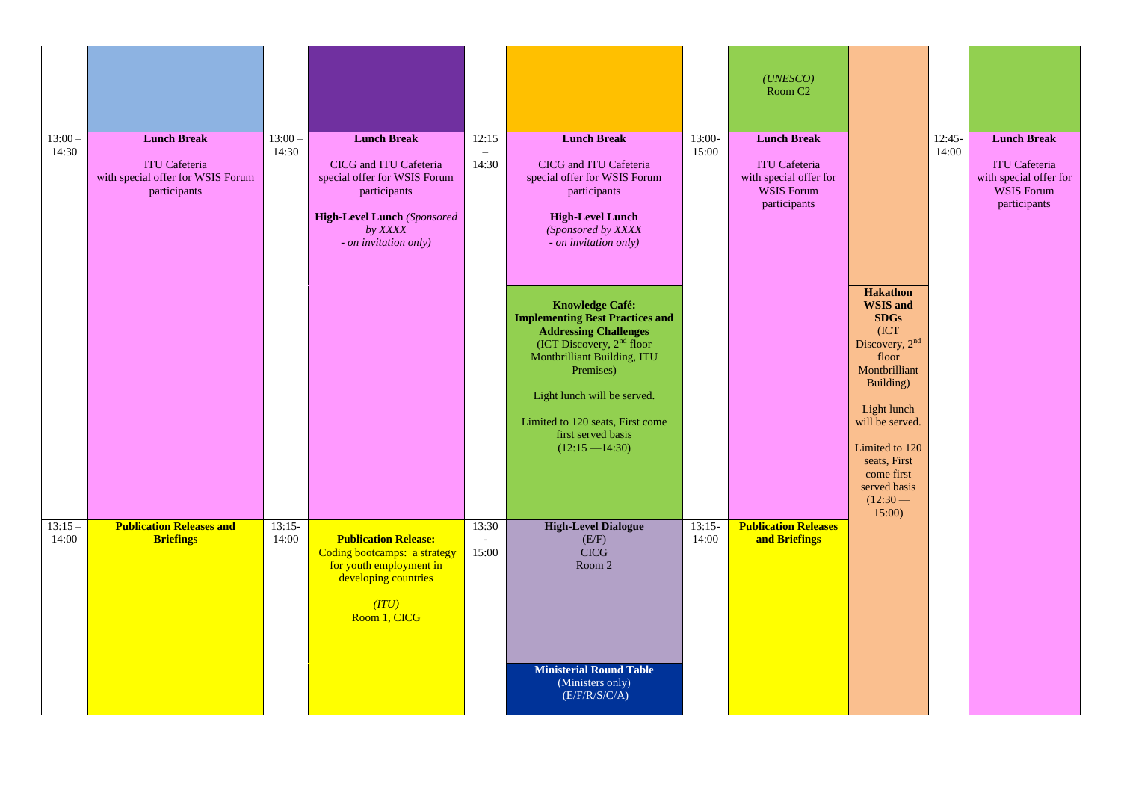| $13:00 -$<br>14:30 | <b>Lunch Break</b><br><b>ITU Cafeteria</b><br>with special offer for WSIS Forum<br>participants | $13:00 -$<br>14:30 | <b>Lunch Break</b><br>CICG and ITU Cafeteria<br>special offer for WSIS Forum<br>participants<br><b>High-Level Lunch (Sponsored)</b><br>by XXXX<br>- on invitation only) | 12:15<br>14:30                             | <b>Lunch Break</b><br>CICG and ITU Cafeteria<br>special offer for WSIS Forum<br>participants<br><b>High-Level Lunch</b><br>(Sponsored by XXXX<br>- on invitation only)                                                                                                                    | $13:00-$<br>15:00 | (UNESCO)<br>Room C <sub>2</sub><br><b>Lunch Break</b><br><b>ITU Cafeteria</b><br>with special offer for<br><b>WSIS Forum</b><br>participants |                                                                                                                                                                                                                                                | $12:45-$<br>14:00 | <b>Lunch Break</b><br><b>ITU Cafeteria</b><br>with special offer for<br><b>WSIS Forum</b><br>participants |
|--------------------|-------------------------------------------------------------------------------------------------|--------------------|-------------------------------------------------------------------------------------------------------------------------------------------------------------------------|--------------------------------------------|-------------------------------------------------------------------------------------------------------------------------------------------------------------------------------------------------------------------------------------------------------------------------------------------|-------------------|----------------------------------------------------------------------------------------------------------------------------------------------|------------------------------------------------------------------------------------------------------------------------------------------------------------------------------------------------------------------------------------------------|-------------------|-----------------------------------------------------------------------------------------------------------|
|                    |                                                                                                 |                    |                                                                                                                                                                         |                                            | <b>Knowledge Café:</b><br><b>Implementing Best Practices and</b><br><b>Addressing Challenges</b><br>(ICT Discovery, $2nd$ floor<br>Montbrilliant Building, ITU<br>Premises)<br>Light lunch will be served.<br>Limited to 120 seats, First come<br>first served basis<br>$(12:15 - 14:30)$ |                   |                                                                                                                                              | <b>Hakathon</b><br><b>WSIS and</b><br><b>SDGs</b><br>[ICT]<br>Discovery, 2nd<br>floor<br>Montbrilliant<br>Building)<br>Light lunch<br>will be served.<br>Limited to 120<br>seats, First<br>come first<br>served basis<br>$(12:30 - )$<br>15:00 |                   |                                                                                                           |
| $13:15-$<br>14:00  | <b>Publication Releases and</b><br><b>Briefings</b>                                             | $13:15-$<br>14:00  | <b>Publication Release:</b><br>Coding bootcamps: a strategy<br>for youth employment in<br>developing countries<br>(TTU)<br>Room 1, CICG                                 | 13:30<br>$\overline{\phantom{a}}$<br>15:00 | <b>High-Level Dialogue</b><br>(E/F)<br><b>CICG</b><br>Room 2<br><b>Ministerial Round Table</b><br>(Ministers only)<br>(E/F/R/S/C/A)                                                                                                                                                       | $13:15-$<br>14:00 | <b>Publication Releases</b><br>and Briefings                                                                                                 |                                                                                                                                                                                                                                                |                   |                                                                                                           |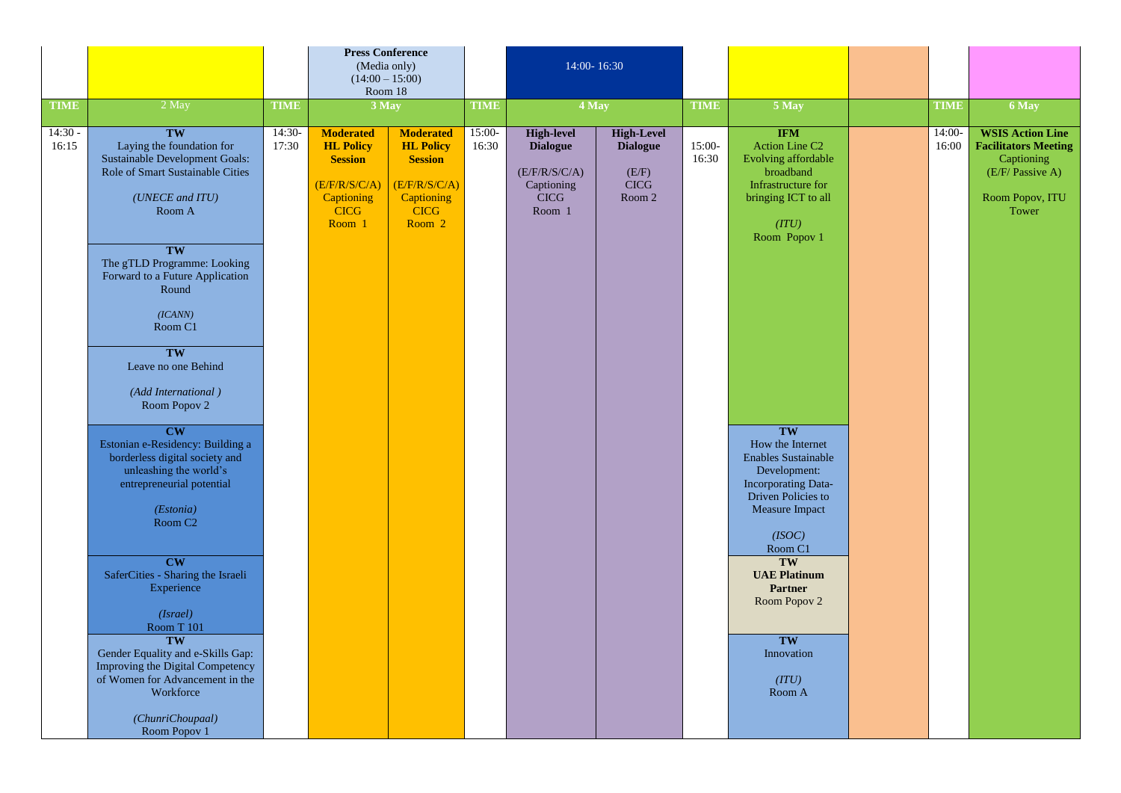|                                   |                                                                                                                                                                                                                                                                                                                                                                                                                                                                                                                                                                                                                                                                                                                               |                                  | <b>Press Conference</b><br>Room 18                                                                                             | (Media only)<br>$(14:00 - 15:00)$                                                                                                |                                  | 14:00-16:30                                                                                           |                                                                        |                                  |                                                                                                                                                                                                                                                                                                                                                                                                                  |                                |                                                                                                                               |
|-----------------------------------|-------------------------------------------------------------------------------------------------------------------------------------------------------------------------------------------------------------------------------------------------------------------------------------------------------------------------------------------------------------------------------------------------------------------------------------------------------------------------------------------------------------------------------------------------------------------------------------------------------------------------------------------------------------------------------------------------------------------------------|----------------------------------|--------------------------------------------------------------------------------------------------------------------------------|----------------------------------------------------------------------------------------------------------------------------------|----------------------------------|-------------------------------------------------------------------------------------------------------|------------------------------------------------------------------------|----------------------------------|------------------------------------------------------------------------------------------------------------------------------------------------------------------------------------------------------------------------------------------------------------------------------------------------------------------------------------------------------------------------------------------------------------------|--------------------------------|-------------------------------------------------------------------------------------------------------------------------------|
|                                   |                                                                                                                                                                                                                                                                                                                                                                                                                                                                                                                                                                                                                                                                                                                               |                                  |                                                                                                                                |                                                                                                                                  |                                  |                                                                                                       |                                                                        |                                  |                                                                                                                                                                                                                                                                                                                                                                                                                  |                                |                                                                                                                               |
| <b>TIME</b><br>$14:30 -$<br>16:15 | 2 May<br>TW<br>Laying the foundation for<br><b>Sustainable Development Goals:</b><br>Role of Smart Sustainable Cities<br>(UNECE and ITU)<br>Room A<br>TW<br>The gTLD Programme: Looking<br>Forward to a Future Application<br>Round<br>(ICANN)<br>Room C1<br>TW<br>Leave no one Behind<br>(Add International)<br>Room Popov 2<br>CW<br>Estonian e-Residency: Building a<br>borderless digital society and<br>unleashing the world's<br>entrepreneurial potential<br>(Estonia)<br>Room C <sub>2</sub><br>CW<br>SaferCities - Sharing the Israeli<br>Experience<br>(Israel)<br>Room T 101<br><b>TW</b><br>Gender Equality and e-Skills Gap:<br>Improving the Digital Competency<br>of Women for Advancement in the<br>Workforce | <b>TIME</b><br>$14:30-$<br>17:30 | 3 May<br><b>Moderated</b><br><b>HL Policy</b><br><b>Session</b><br>(E/F/R/S/C/A)<br><b>Captioning</b><br><b>CICG</b><br>Room 1 | <b>Moderated</b><br><b>HL Policy</b><br><b>Session</b><br>(E/F/R/S/C/A)<br><b>Captioning</b><br><b>CICG</b><br>Room <sub>2</sub> | <b>TIME</b><br>$15:00-$<br>16:30 | 4 May<br><b>High-level</b><br><b>Dialogue</b><br>(E/F/R/S/C/A)<br>Captioning<br><b>CICG</b><br>Room 1 | <b>High-Level</b><br><b>Dialogue</b><br>(E/F)<br><b>CICG</b><br>Room 2 | <b>TIME</b><br>$15:00-$<br>16:30 | 5 May<br><b>IFM</b><br><b>Action Line C2</b><br>Evolving affordable<br>broadband<br>Infrastructure for<br>bringing ICT to all<br>(TTU)<br>Room Popov 1<br>TW<br>How the Internet<br>Enables Sustainable<br>Development:<br>Incorporating Data-<br>Driven Policies to<br>Measure Impact<br>(ISOC)<br>Room C1<br>TW<br><b>UAE Platinum</b><br><b>Partner</b><br>Room Popov 2<br>TW<br>Innovation<br>(TU)<br>Room A | <b>TIME</b><br>14:00-<br>16:00 | 6 May<br><b>WSIS Action Line</b><br><b>Facilitators Meeting</b><br>Captioning<br>(E/F/ Passive A)<br>Room Popov, ITU<br>Tower |
|                                   | (ChunriChoupaal)<br>Room Popov 1                                                                                                                                                                                                                                                                                                                                                                                                                                                                                                                                                                                                                                                                                              |                                  |                                                                                                                                |                                                                                                                                  |                                  |                                                                                                       |                                                                        |                                  |                                                                                                                                                                                                                                                                                                                                                                                                                  |                                |                                                                                                                               |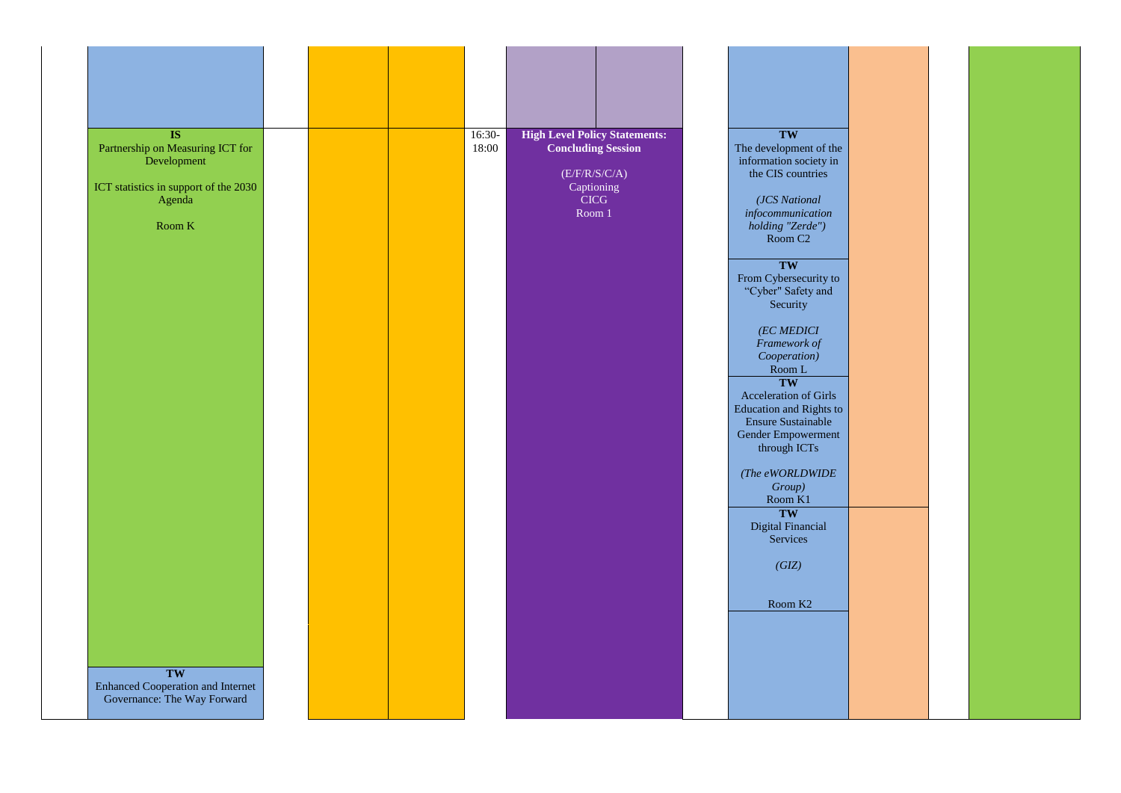| <b>IS</b><br>Partnership on Measuring ICT for<br>Development<br>ICT statistics in support of the 2030<br>Agenda<br>Room K<br>TW<br><b>Enhanced Cooperation and Internet</b><br>Governance: The Way Forward |  | 16:30-<br>18:00 | Room 1 | <b>High Level Policy Statements:</b><br><b>Concluding Session</b><br>(E/F/R/S/C/A)<br>Captioning<br><b>CICG</b> | TW<br>The development of the<br>information society in<br>the CIS countries<br>(JCS National<br>infocommunication<br>holding "Zerde")<br>Room C <sub>2</sub><br>TW<br>From Cybersecurity to<br>"Cyber" Safety and<br>Security<br>(EC MEDICI<br>Framework of<br>Cooperation)<br>Room L<br>TW<br>Acceleration of Girls<br><b>Education and Rights to</b><br><b>Ensure Sustainable</b><br>Gender Empowerment<br>through ICTs<br>(The eWORLDWIDE<br>Group)<br>Room K1<br>TW<br><b>Digital Financial</b><br>Services<br>(GIZ)<br>Room K <sub>2</sub> |
|------------------------------------------------------------------------------------------------------------------------------------------------------------------------------------------------------------|--|-----------------|--------|-----------------------------------------------------------------------------------------------------------------|-------------------------------------------------------------------------------------------------------------------------------------------------------------------------------------------------------------------------------------------------------------------------------------------------------------------------------------------------------------------------------------------------------------------------------------------------------------------------------------------------------------------------------------------------|

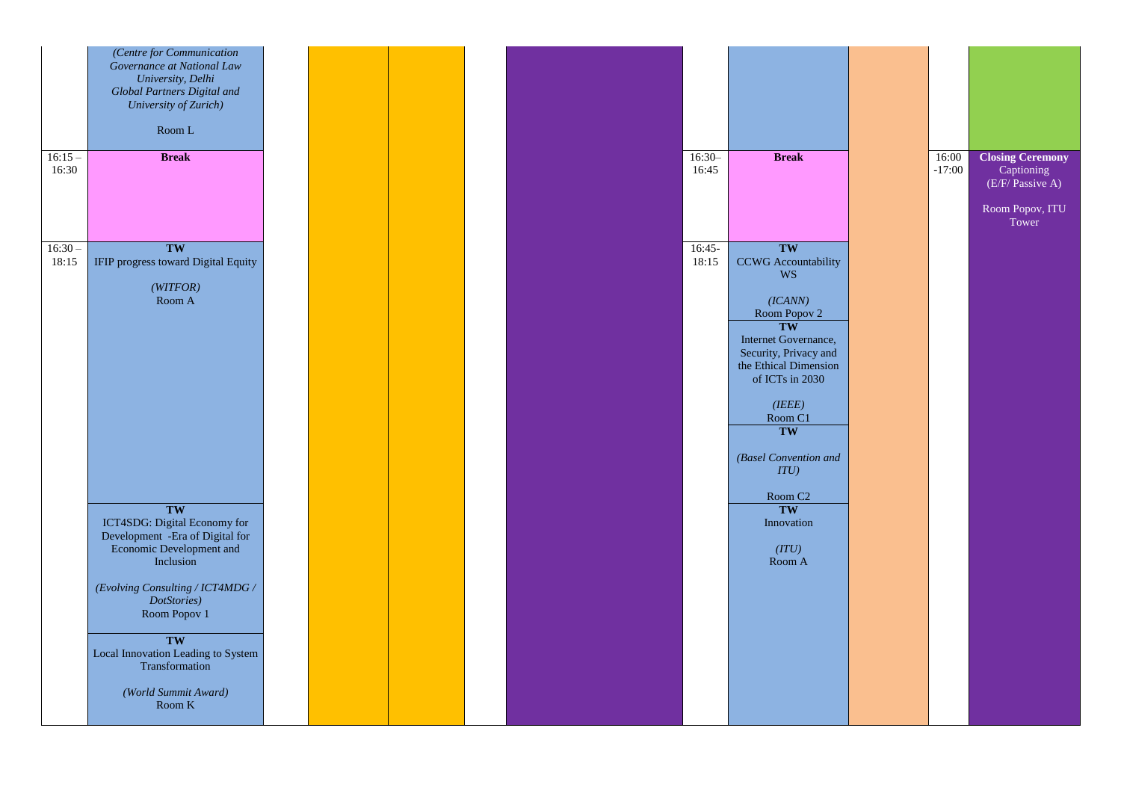| 16:00<br>$-17:00$ | <b>Closing Ceremony</b><br>Captioning<br>(E/F/ Passive A)<br>Room Popov, ITU<br>Tower |
|-------------------|---------------------------------------------------------------------------------------|
|                   |                                                                                       |
|                   |                                                                                       |
|                   |                                                                                       |

|                    | (Centre for Communication<br>Governance at National Law<br>University, Delhi                                    |  |  |                   |                                                                                                                                      |
|--------------------|-----------------------------------------------------------------------------------------------------------------|--|--|-------------------|--------------------------------------------------------------------------------------------------------------------------------------|
|                    | <b>Global Partners Digital and</b><br>University of Zurich)                                                     |  |  |                   |                                                                                                                                      |
|                    | $\mbox{Room\,L}$                                                                                                |  |  |                   |                                                                                                                                      |
| $16:15-$<br>16:30  | <b>Break</b>                                                                                                    |  |  | $16:30-$<br>16:45 | <b>Break</b>                                                                                                                         |
| $16:30 -$<br>18:15 | TW<br>IFIP progress toward Digital Equity<br>(WITFOR)                                                           |  |  | $16:45-$<br>18:15 | TW<br><b>CCWG</b> Accountability<br><b>WS</b>                                                                                        |
|                    | Room A                                                                                                          |  |  |                   | (ICANN)<br>Room Popov 2<br>TW<br>Internet Governance,<br>Security, Privacy and<br>the Ethical Dimension<br>of ICTs in 2030<br>(IEEE) |
|                    |                                                                                                                 |  |  |                   | Room C1<br>TW<br>(Basel Convention and<br>ITU)<br>Room C <sub>2</sub>                                                                |
|                    | TW<br>ICT4SDG: Digital Economy for<br>Development - Era of Digital for<br>Economic Development and<br>Inclusion |  |  |                   | TW<br>Innovation<br>(ITU)<br>Room A                                                                                                  |
|                    | (Evolving Consulting / ICT4MDG /<br>DotStories)<br>Room Popov 1                                                 |  |  |                   |                                                                                                                                      |
|                    | TW<br>Local Innovation Leading to System<br>Transformation                                                      |  |  |                   |                                                                                                                                      |
|                    | (World Summit Award)<br>Room K                                                                                  |  |  |                   |                                                                                                                                      |